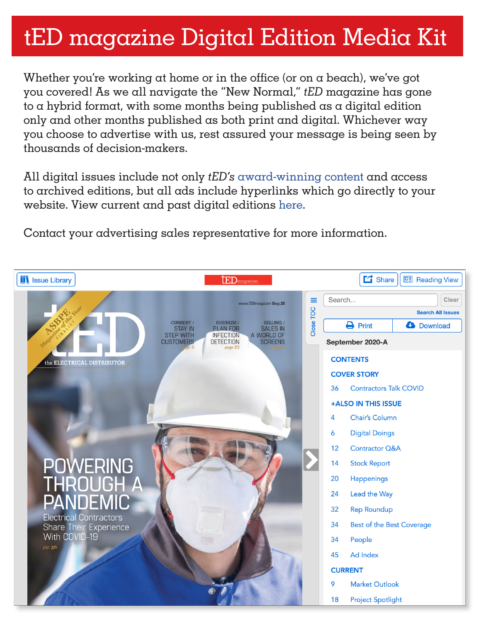# tED magazine Digital Edition Media Kit

Whether you're working at home or in the office (or on a beach), we've got you covered! As we all navigate the "New Normal," *tED* magazine has gone to a hybrid format, with some months being published as a digital edition only and other months published as both print and digital. Whichever way you choose to advertise with us, rest assured your message is being seen by thousands of decision-makers.

All digital issues include not only *tED's* [award-winning content a](https://tedmag.com/award-winning-excellence/)nd access to archived editions, but all ads include hyperlinks which go directly to your website. View current and past digital editions [here.](https://www.tedmagazine-digital.com/tedmagazine/library/)

Contact your advertising sales representative for more information.

| <b>IN</b> Issue Library                          | $\text{tED}$ magazine                                                                                                          | $\Box$ Share<br><b>Eil</b> Reading View           |
|--------------------------------------------------|--------------------------------------------------------------------------------------------------------------------------------|---------------------------------------------------|
|                                                  | www.tEDmag.com Sep.20                                                                                                          | Search<br>Clear<br>≡                              |
|                                                  |                                                                                                                                | <b>Search All Issues</b>                          |
|                                                  | <b>BUSINESS/</b><br>SELLING /<br><b>CURRENT /</b><br><b>STAY IN</b><br><b>PLAN FOR</b><br><b>SALES IN</b>                      | Close TOC<br>$\ominus$ Print<br><b>3</b> Download |
|                                                  | <b>STEP WITH</b><br>A WORLD OF<br><b>INFECTION</b><br><b>CUSTOMERS</b><br><b>DETECTION</b><br><b>SCREENS</b><br>page 23<br>e 9 | September 2020-A                                  |
| the ELECTRICAL DISTRIBUTOR                       |                                                                                                                                | <b>CONTENTS</b>                                   |
|                                                  |                                                                                                                                | <b>COVER STORY</b>                                |
|                                                  |                                                                                                                                | 36<br><b>Contractors Talk COVID</b>               |
|                                                  |                                                                                                                                | +ALSO IN THIS ISSUE                               |
|                                                  |                                                                                                                                | 4<br><b>Chair's Column</b>                        |
|                                                  |                                                                                                                                | 6<br><b>Digital Doings</b>                        |
|                                                  |                                                                                                                                | 12<br><b>Contractor Q&amp;A</b>                   |
| POWERING<br>THROUGH A                            |                                                                                                                                | 14<br><b>Stock Report</b>                         |
|                                                  |                                                                                                                                | Happenings<br>20                                  |
|                                                  |                                                                                                                                | 24<br>Lead the Way                                |
| <b>PANDEMIC</b><br><b>Electrical Contractors</b> |                                                                                                                                | <b>Rep Roundup</b><br>32                          |
| Share Their Experience                           |                                                                                                                                | 34<br><b>Best of the Best Coverage</b>            |
| With COVID-19<br>pg.36                           |                                                                                                                                | 34<br>People                                      |
|                                                  |                                                                                                                                | <b>Ad Index</b><br>45                             |
|                                                  |                                                                                                                                | <b>CURRENT</b>                                    |
|                                                  |                                                                                                                                | 9<br><b>Market Outlook</b>                        |
|                                                  |                                                                                                                                | 18<br><b>Project Spotlight</b>                    |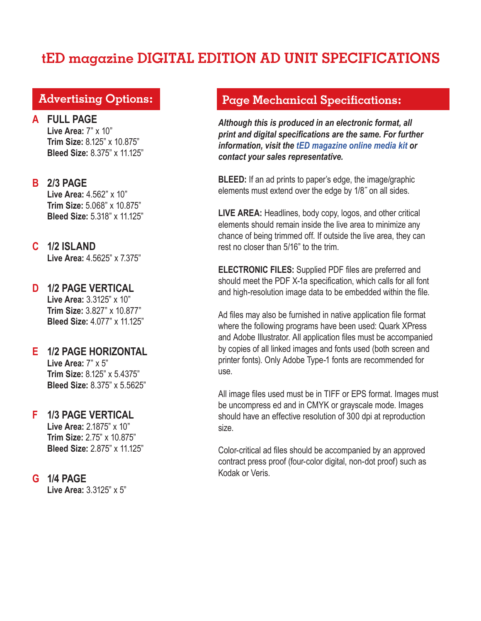# **tED magazine DIGITAL EDITION AD UNIT SPECIFICATIONS**

## **Advertising Options:**

**A FULL PAGE Live Area:** 7" x 10" **Trim Size:** 8.125" x 10.875" **Bleed Size:** 8.375" x 11.125"

l

**B 2/3 PAGE Live Area:** 4.562" x 10" **Trim Size:** 5.068" x 10.875" **Bleed Size:** 5.318" x 11.125"

#### **C 1/2 ISLAND Live Area:** 4.5625" x 7.375"

**D 1/2 PAGE VERTICAL Live Area:** 3.3125" x 10" **Trim Size:** 3.827" x 10.877" **Bleed Size:** 4.077" x 11.125"

## **E 1/2 PAGE HORIZONTAL Live Area:** 7" x 5"

**Trim Size:** 8.125" x 5.4375" **Bleed Size:** 8.375" x 5.5625"

#### **F 1/3 PAGE VERTICAL**

**Live Area:** 2.1875" x 10" **Trim Size:** 2.75" x 10.875" **Bleed Size:** 2.875" x 11.125"

## **G 1/4 PAGE**

**Live Area:** 3.3125" x 5"

### **Page Mechanical Specifications:**

*Although this is produced in an electronic format, all print and digital specifications are the same. For further information, visit the [tED magazine online media kit o](https://tedmag.com/mediakit/)r contact your sales representative.*

**BLEED:** If an ad prints to paper's edge, the image/graphic elements must extend over the edge by 1/8˝ on all sides.

**LIVE AREA:** Headlines, body copy, logos, and other critical elements should remain inside the live area to minimize any chance of being trimmed off. If outside the live area, they can rest no closer than 5/16" to the trim.

**ELECTRONIC FILES:** Supplied PDF files are preferred and should meet the PDF X-1a specification, which calls for all font and high-resolution image data to be embedded within the file.

Ad files may also be furnished in native application file format where the following programs have been used: Quark XPress and Adobe Illustrator. All application files must be accompanied by copies of all linked images and fonts used (both screen and printer fonts). Only Adobe Type-1 fonts are recommended for use.

All image files used must be in TIFF or EPS format. Images must be uncompress ed and in CMYK or grayscale mode. Images should have an effective resolution of 300 dpi at reproduction size.

Color-critical ad files should be accompanied by an approved contract press proof (four-color digital, non-dot proof) such as Kodak or Veris.